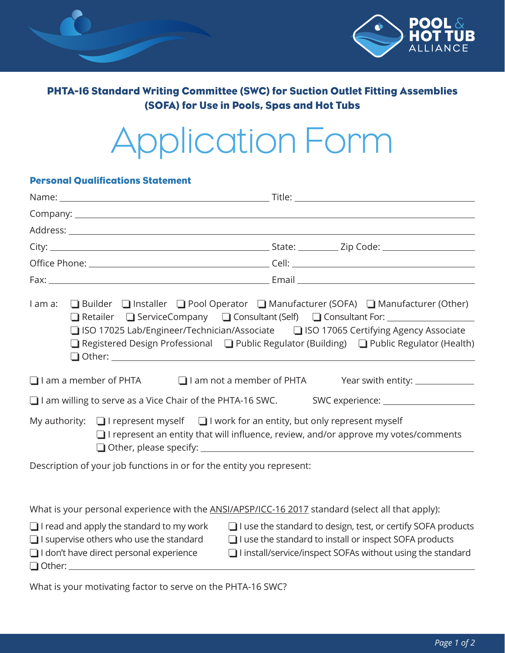

# PHTA-16 Standard Writing Committee (SWC) for Suction Outlet Fitting Assemblies (SOFA) for Use in Pools, Spas and Hot Tubs

# Application Form

## Personal Qualifications Statement

| I am a:                                                                                                                                             | □ Builder □ Installer □ Pool Operator □ Manufacturer (SOFA) □ Manufacturer (Other)<br>□ Retailer □ ServiceCompany □ Consultant (Self) □ Consultant For: ______________<br>□ ISO 17025 Lab/Engineer/Technician/Associate □ ISO 17065 Certifying Agency Associate<br>□ Registered Design Professional □ Public Regulator (Building) □ Public Regulator (Health) |
|-----------------------------------------------------------------------------------------------------------------------------------------------------|---------------------------------------------------------------------------------------------------------------------------------------------------------------------------------------------------------------------------------------------------------------------------------------------------------------------------------------------------------------|
| $\Box$ I am a member of PHTA $\Box$ I am not a member of PHTA                                                                                       | Year swith entity: _______________                                                                                                                                                                                                                                                                                                                            |
|                                                                                                                                                     | I am willing to serve as a Vice Chair of the PHTA-16 SWC. SWC experience: 100000000000000000000000000000000000                                                                                                                                                                                                                                                |
| My authority: $\Box$ I represent myself $\Box$ I work for an entity, but only represent myself                                                      | $\Box$ I represent an entity that will influence, review, and/or approve my votes/comments                                                                                                                                                                                                                                                                    |
| Description of your job functions in or for the entity you represent:                                                                               |                                                                                                                                                                                                                                                                                                                                                               |
|                                                                                                                                                     | What is your personal experience with the ANSI/APSP/ICC-16 2017 standard (select all that apply):                                                                                                                                                                                                                                                             |
| $\Box$ I read and apply the standard to my work<br>$\Box$ I supervise others who use the standard<br>$\Box$ I don't have direct personal experience | $\Box$ I use the standard to design, test, or certify SOFA products<br>$\Box$ I use the standard to install or inspect SOFA products<br>$\Box$ I install/service/inspect SOFAs without using the standard                                                                                                                                                     |

What is your motivating factor to serve on the PHTA-16 SWC?